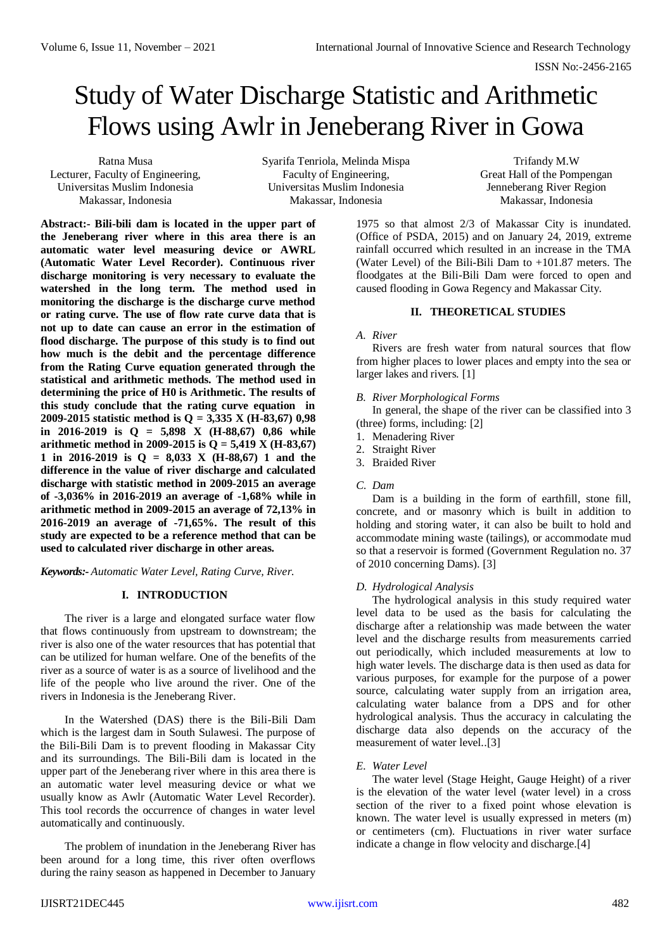# Study of Water Discharge Statistic and Arithmetic Flows using Awlr in Jeneberang River in Gowa

Ratna Musa Lecturer, Faculty of Engineering, Universitas Muslim Indonesia Makassar, Indonesia

Syarifa Tenriola, Melinda Mispa Faculty of Engineering, Universitas Muslim Indonesia Makassar, Indonesia

Trifandy M.W Great Hall of the Pompengan Jenneberang River Region Makassar, Indonesia

**Abstract:- Bili-bili dam is located in the upper part of the Jeneberang river where in this area there is an automatic water level measuring device or AWRL (Automatic Water Level Recorder). Continuous river discharge monitoring is very necessary to evaluate the watershed in the long term. The method used in monitoring the discharge is the discharge curve method or rating curve. The use of flow rate curve data that is not up to date can cause an error in the estimation of flood discharge. The purpose of this study is to find out how much is the debit and the percentage difference from the Rating Curve equation generated through the statistical and arithmetic methods. The method used in determining the price of H0 is Arithmetic. The results of this study conclude that the rating curve equation in 2009-2015 statistic method is Q = 3,335 X (H-83,67) 0,98 in 2016-2019 is Q = 5,898 X (H-88,67) 0,86 while arithmetic method in 2009-2015 is Q = 5,419 X (H-83,67) 1 in 2016-2019 is Q = 8,033 X (H-88,67) 1 and the difference in the value of river discharge and calculated discharge with statistic method in 2009-2015 an average of -3,036% in 2016-2019 an average of -1,68% while in arithmetic method in 2009-2015 an average of 72,13% in 2016-2019 an average of -71,65%. The result of this study are expected to be a reference method that can be used to calculated river discharge in other areas.**

*Keywords:- Automatic Water Level, Rating Curve, River.*

# **I. INTRODUCTION**

The river is a large and elongated surface water flow that flows continuously from upstream to downstream; the river is also one of the water resources that has potential that can be utilized for human welfare. One of the benefits of the river as a source of water is as a source of livelihood and the life of the people who live around the river. One of the rivers in Indonesia is the Jeneberang River.

In the Watershed (DAS) there is the Bili-Bili Dam which is the largest dam in South Sulawesi. The purpose of the Bili-Bili Dam is to prevent flooding in Makassar City and its surroundings. The Bili-Bili dam is located in the upper part of the Jeneberang river where in this area there is an automatic water level measuring device or what we usually know as Awlr (Automatic Water Level Recorder). This tool records the occurrence of changes in water level automatically and continuously.

The problem of inundation in the Jeneberang River has been around for a long time, this river often overflows during the rainy season as happened in December to January

1975 so that almost 2/3 of Makassar City is inundated. (Office of PSDA, 2015) and on January 24, 2019, extreme rainfall occurred which resulted in an increase in the TMA (Water Level) of the Bili-Bili Dam to +101.87 meters. The floodgates at the Bili-Bili Dam were forced to open and caused flooding in Gowa Regency and Makassar City.

## **II. THEORETICAL STUDIES**

## *A. River*

Rivers are fresh water from natural sources that flow from higher places to lower places and empty into the sea or larger lakes and rivers. [1]

## *B. River Morphological Forms*

In general, the shape of the river can be classified into 3 (three) forms, including: [2]

- 1. Menadering River
- 2. Straight River
- 3. Braided River
- *C. Dam*

Dam is a building in the form of earthfill, stone fill, concrete, and or masonry which is built in addition to holding and storing water, it can also be built to hold and accommodate mining waste (tailings), or accommodate mud so that a reservoir is formed (Government Regulation no. 37 of 2010 concerning Dams). [3]

# *D. Hydrological Analysis*

The hydrological analysis in this study required water level data to be used as the basis for calculating the discharge after a relationship was made between the water level and the discharge results from measurements carried out periodically, which included measurements at low to high water levels. The discharge data is then used as data for various purposes, for example for the purpose of a power source, calculating water supply from an irrigation area, calculating water balance from a DPS and for other hydrological analysis. Thus the accuracy in calculating the discharge data also depends on the accuracy of the measurement of water level..[3]

# *E. Water Level*

The water level (Stage Height, Gauge Height) of a river is the elevation of the water level (water level) in a cross section of the river to a fixed point whose elevation is known. The water level is usually expressed in meters (m) or centimeters (cm). Fluctuations in river water surface indicate a change in flow velocity and discharge.[4]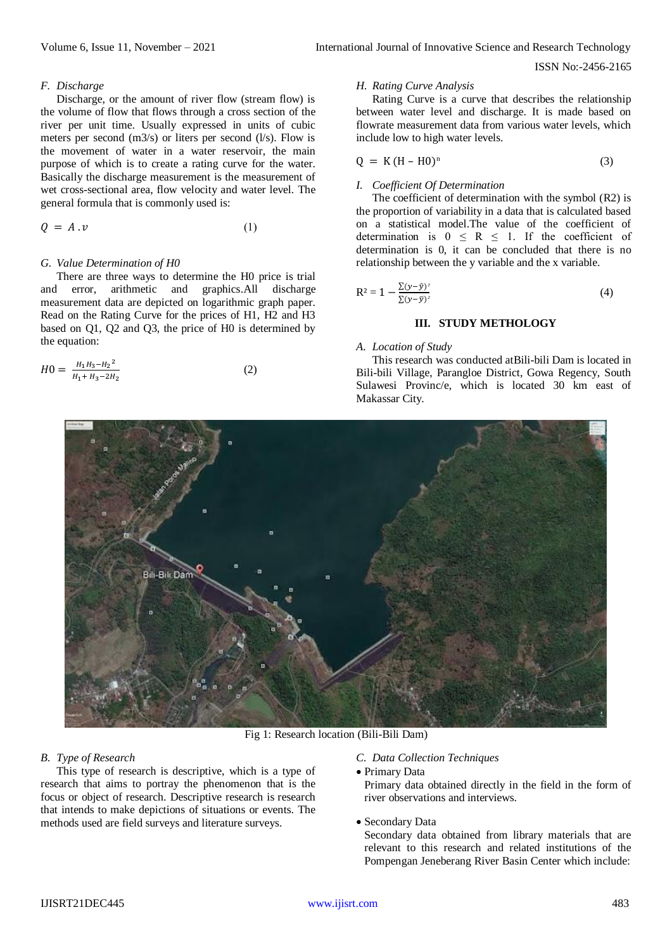ISSN No:-2456-2165

#### *F. Discharge*

Discharge, or the amount of river flow (stream flow) is the volume of flow that flows through a cross section of the river per unit time. Usually expressed in units of cubic meters per second (m3/s) or liters per second (l/s). Flow is the movement of water in a water reservoir, the main purpose of which is to create a rating curve for the water. Basically the discharge measurement is the measurement of wet cross-sectional area, flow velocity and water level. The general formula that is commonly used is:

$$
Q = A \cdot v \tag{1}
$$

## *G. Value Determination of H0*

There are three ways to determine the H0 price is trial and error, arithmetic and graphics.All discharge measurement data are depicted on logarithmic graph paper. Read on the Rating Curve for the prices of H1, H2 and H3 based on Q1, Q2 and Q3, the price of H0 is determined by the equation:

$$
H0 = \frac{H_1 H_3 - H_2^2}{H_1 + H_3 - 2H_2}
$$
 (2)

#### *H. Rating Curve Analysis*

Rating Curve is a curve that describes the relationship between water level and discharge. It is made based on flowrate measurement data from various water levels, which include low to high water levels.

$$
Q = K (H - H0)^n \tag{3}
$$

#### *I. Coefficient Of Determination*

The coefficient of determination with the symbol (R2) is the proportion of variability in a data that is calculated based on a statistical model.The value of the coefficient of determination is  $0 \le R \le 1$ . If the coefficient of determination is 0, it can be concluded that there is no relationship between the y variable and the x variable.

$$
R^{2} = 1 - \frac{\sum(y - \hat{y})^{2}}{\sum(y - \bar{y})^{2}}
$$
 (4)

## **III. STUDY METHOLOGY**

#### *A. Location of Study*

This research was conducted atBili-bili Dam is located in Bili-bili Village, Parangloe District, Gowa Regency, South Sulawesi Provinc/e, which is located 30 km east of Makassar City.



Fig 1: Research location (Bili-Bili Dam)

# *B. Type of Research*

This type of research is descriptive, which is a type of research that aims to portray the phenomenon that is the focus or object of research. Descriptive research is research that intends to make depictions of situations or events. The methods used are field surveys and literature surveys.

# *C. Data Collection Techniques*

Primary Data

Primary data obtained directly in the field in the form of river observations and interviews.

#### Secondary Data

Secondary data obtained from library materials that are relevant to this research and related institutions of the Pompengan Jeneberang River Basin Center which include: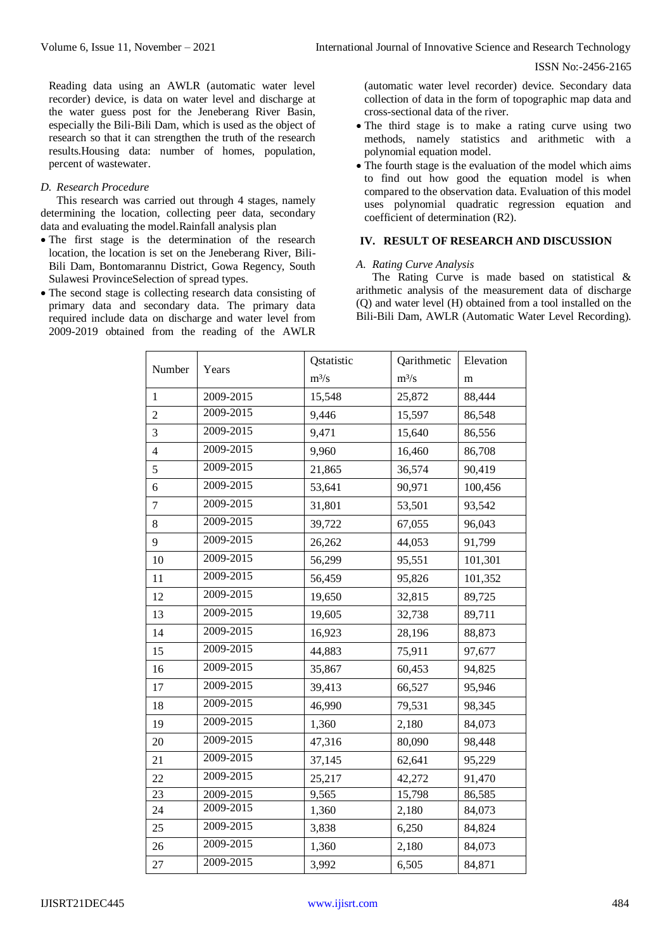ISSN No:-2456-2165

Reading data using an AWLR (automatic water level recorder) device, is data on water level and discharge at the water guess post for the Jeneberang River Basin, especially the Bili-Bili Dam, which is used as the object of research so that it can strengthen the truth of the research results.Housing data: number of homes, population, percent of wastewater.

## *D. Research Procedure*

This research was carried out through 4 stages, namely determining the location, collecting peer data, secondary data and evaluating the model.Rainfall analysis plan

- The first stage is the determination of the research location, the location is set on the Jeneberang River, Bili-Bili Dam, Bontomarannu District, Gowa Regency, South Sulawesi ProvinceSelection of spread types.
- The second stage is collecting research data consisting of primary data and secondary data. The primary data required include data on discharge and water level from 2009-2019 obtained from the reading of the AWLR

(automatic water level recorder) device. Secondary data collection of data in the form of topographic map data and cross-sectional data of the river.

- The third stage is to make a rating curve using two methods, namely statistics and arithmetic with a polynomial equation model.
- The fourth stage is the evaluation of the model which aims to find out how good the equation model is when compared to the observation data. Evaluation of this model uses polynomial quadratic regression equation and coefficient of determination (R2).

# **IV. RESULT OF RESEARCH AND DISCUSSION**

#### *A. Rating Curve Analysis*

The Rating Curve is made based on statistical & arithmetic analysis of the measurement data of discharge (Q) and water level (H) obtained from a tool installed on the Bili-Bili Dam, AWLR (Automatic Water Level Recording).

| Number         | Years         | Qstatistic | Qarithmetic | Elevation |
|----------------|---------------|------------|-------------|-----------|
|                |               | $m^3/s$    | $m^3/s$     | m         |
| $\mathbf{1}$   | 2009-2015     | 15,548     | 25,872      | 88,444    |
| $\overline{2}$ | 2009-2015     | 9,446      | 15,597      | 86,548    |
| 3              | 2009-2015     | 9,471      | 15,640      | 86,556    |
| $\overline{4}$ | 2009-2015     | 9,960      | 16,460      | 86,708    |
| 5              | 2009-2015     | 21,865     | 36,574      | 90,419    |
| 6              | 2009-2015     | 53,641     | 90,971      | 100,456   |
| $\tau$         | 2009-2015     | 31,801     | 53,501      | 93,542    |
| 8              | 2009-2015     | 39,722     | 67,055      | 96,043    |
| 9              | 2009-2015     | 26,262     | 44,053      | 91,799    |
| 10             | 2009-2015     | 56,299     | 95,551      | 101,301   |
| 11             | 2009-2015     | 56,459     | 95,826      | 101,352   |
| 12             | 2009-2015     | 19,650     | 32,815      | 89,725    |
| 13             | 2009-2015     | 19,605     | 32,738      | 89,711    |
| 14             | 2009-2015     | 16,923     | 28,196      | 88,873    |
| 15             | 2009-2015     | 44,883     | 75,911      | 97,677    |
| 16             | 2009-2015     | 35,867     | 60,453      | 94,825    |
| 17             | 2009-2015     | 39,413     | 66,527      | 95,946    |
| 18             | 2009-2015     | 46,990     | 79,531      | 98,345    |
| 19             | 2009-2015     | 1,360      | 2,180       | 84,073    |
| 20             | 2009-2015     | 47,316     | 80,090      | 98,448    |
| 21             | 2009-2015     | 37,145     | 62,641      | 95,229    |
| 22             | 2009-2015     | 25,217     | 42,272      | 91,470    |
| 23             | $2009 - 2015$ | 9,565      | 15,798      | 86,585    |
| 24             | 2009-2015     | 1,360      | 2,180       | 84,073    |
| 25             | 2009-2015     | 3,838      | 6,250       | 84,824    |
| 26             | 2009-2015     | 1,360      | 2,180       | 84,073    |
| 27             | 2009-2015     | 3,992      | 6,505       | 84,871    |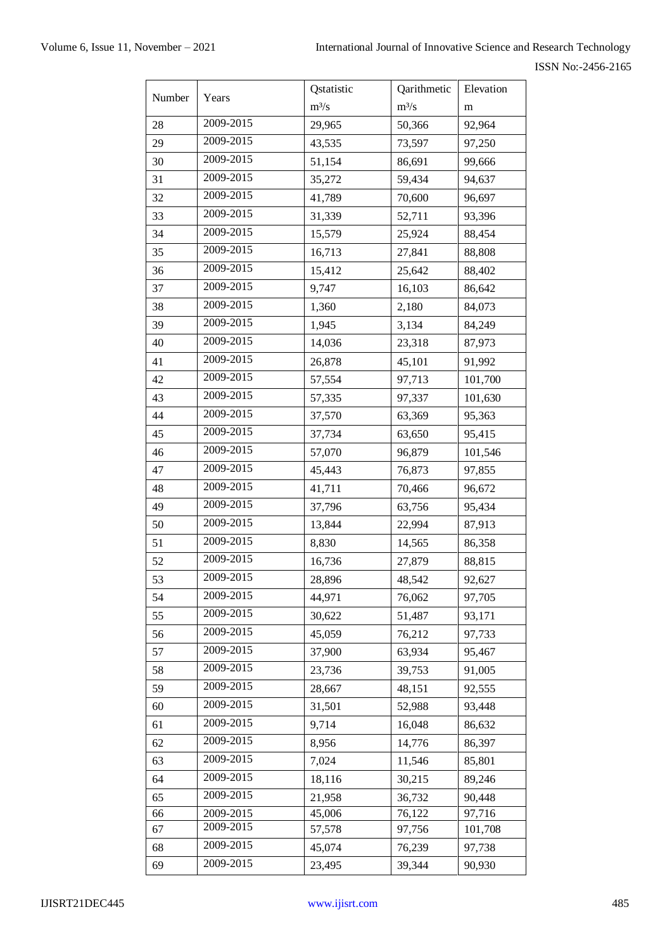| Number | Years     | Qstatistic | Qarithmetic         | Elevation |
|--------|-----------|------------|---------------------|-----------|
|        |           | $m^3/s$    | $m^3/s$             | m         |
| 28     | 2009-2015 | 29,965     | 50,366              | 92,964    |
| 29     | 2009-2015 | 43,535     | 73,597              | 97,250    |
| 30     | 2009-2015 | 51,154     | 86,691              | 99,666    |
| 31     | 2009-2015 | 35,272     | 59,434              | 94,637    |
| 32     | 2009-2015 | 41,789     | 70,600              | 96,697    |
| 33     | 2009-2015 | 31,339     | 52,711              | 93,396    |
| 34     | 2009-2015 | 15,579     | 25,924              | 88,454    |
| 35     | 2009-2015 | 16,713     | 27,841              | 88,808    |
| 36     | 2009-2015 | 15,412     | 25,642              | 88,402    |
| 37     | 2009-2015 | 9,747      | 16,103              | 86,642    |
| 38     | 2009-2015 | 1,360      | 2,180               | 84,073    |
| 39     | 2009-2015 | 1,945      | 3,134               | 84,249    |
| 40     | 2009-2015 | 14,036     | 23,318              | 87,973    |
| 41     | 2009-2015 | 26,878     | 45,101              | 91,992    |
| 42     | 2009-2015 | 57,554     | 97,713              | 101,700   |
| 43     | 2009-2015 | 57,335     | 97,337              | 101,630   |
| 44     | 2009-2015 | 37,570     | 63,369              | 95,363    |
| 45     | 2009-2015 | 37,734     | 63,650              | 95,415    |
| 46     | 2009-2015 | 57,070     | 96,879              | 101,546   |
| 47     | 2009-2015 | 45,443     | 76,873              | 97,855    |
| 48     | 2009-2015 | 41,711     | 70,466              | 96,672    |
| 49     | 2009-2015 | 37,796     | 63,756              | 95,434    |
| 50     | 2009-2015 | 13,844     | 22,994              | 87,913    |
| 51     | 2009-2015 | 8,830      | 14,565              | 86,358    |
| 52     | 2009-2015 | 16,736     | 27,879              | 88,815    |
| 53     | 2009-2015 | 28,896     | 48,542              | 92,627    |
| 54     | 2009-2015 | 44,971     | 76,062              | 97,705    |
| 55     | 2009-2015 | 30,622     | 51,487              | 93,171    |
| 56     | 2009-2015 | 45,059     | 76,212              | 97,733    |
| 57     | 2009-2015 | 37,900     | 63,934              | 95,467    |
| 58     | 2009-2015 | 23,736     | 39,753              | 91,005    |
| 59     | 2009-2015 | 28,667     | 48,151              | 92,555    |
| 60     | 2009-2015 | 31,501     | 52,988              | 93,448    |
| 61     | 2009-2015 | 9,714      | 16,048              | 86,632    |
| 62     | 2009-2015 | 8,956      | 14,776              | 86,397    |
| 63     | 2009-2015 | 7,024      | 11,546              | 85,801    |
| 64     | 2009-2015 | 18,116     | 30,215              | 89,246    |
| 65     | 2009-2015 | 21,958     | 36,732              | 90,448    |
| 66     | 2009-2015 | 45,006     | $\overline{76,122}$ | 97,716    |
| 67     | 2009-2015 | 57,578     | 97,756              | 101,708   |
| 68     | 2009-2015 | 45,074     | 76,239              | 97,738    |
| 69     | 2009-2015 | 23,495     | 39,344              | 90,930    |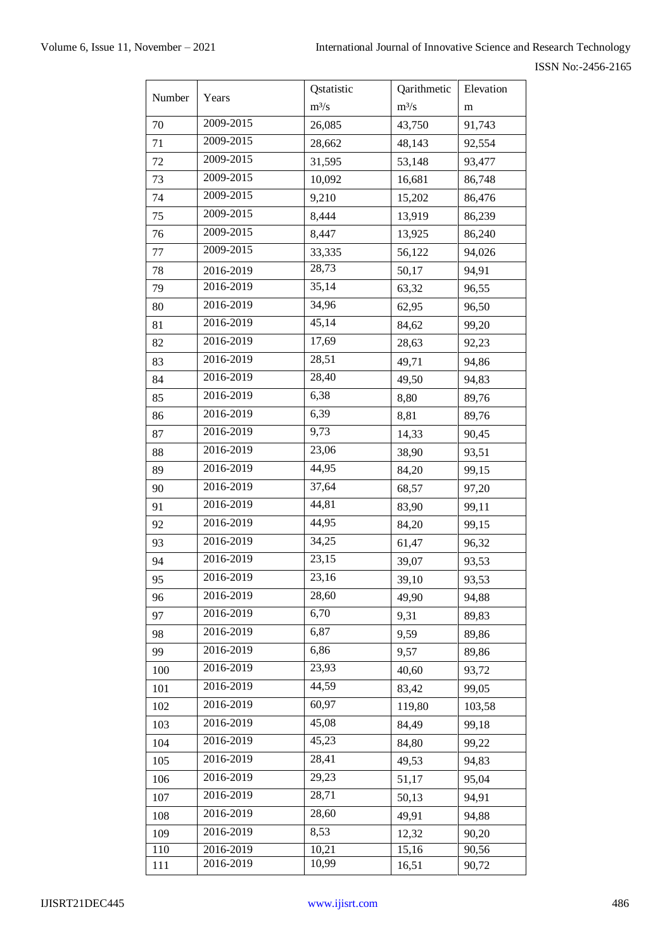| Number | Years     | Qstatistic | Qarithmetic | Elevation |
|--------|-----------|------------|-------------|-----------|
|        |           | $m^3/s$    | $m^3/s$     | m         |
| 70     | 2009-2015 | 26,085     | 43,750      | 91,743    |
| 71     | 2009-2015 | 28,662     | 48,143      | 92,554    |
| 72     | 2009-2015 | 31,595     | 53,148      | 93,477    |
| 73     | 2009-2015 | 10,092     | 16,681      | 86,748    |
| 74     | 2009-2015 | 9,210      | 15,202      | 86,476    |
| 75     | 2009-2015 | 8,444      | 13,919      | 86,239    |
| 76     | 2009-2015 | 8,447      | 13,925      | 86,240    |
| 77     | 2009-2015 | 33,335     | 56,122      | 94,026    |
| 78     | 2016-2019 | 28,73      | 50,17       | 94,91     |
| 79     | 2016-2019 | 35,14      | 63,32       | 96,55     |
| 80     | 2016-2019 | 34,96      | 62,95       | 96,50     |
| 81     | 2016-2019 | 45,14      | 84,62       | 99,20     |
| 82     | 2016-2019 | 17,69      | 28,63       | 92,23     |
| 83     | 2016-2019 | 28,51      | 49,71       | 94,86     |
| 84     | 2016-2019 | 28,40      | 49,50       | 94,83     |
| 85     | 2016-2019 | 6,38       | 8,80        | 89,76     |
| 86     | 2016-2019 | 6,39       | 8,81        | 89,76     |
| 87     | 2016-2019 | 9,73       | 14,33       | 90,45     |
| 88     | 2016-2019 | 23,06      | 38,90       | 93,51     |
| 89     | 2016-2019 | 44,95      | 84,20       | 99,15     |
| 90     | 2016-2019 | 37,64      | 68,57       | 97,20     |
| 91     | 2016-2019 | 44,81      | 83,90       | 99,11     |
| 92     | 2016-2019 | 44,95      | 84,20       | 99,15     |
| 93     | 2016-2019 | 34,25      | 61,47       | 96,32     |
| 94     | 2016-2019 | 23,15      | 39,07       | 93,53     |
| 95     | 2016-2019 | 23,16      | 39,10       | 93,53     |
| 96     | 2016-2019 | 28,60      | 49,90       | 94,88     |
| 97     | 2016-2019 | 6,70       | 9,31        | 89,83     |
| 98     | 2016-2019 | 6,87       | 9,59        | 89,86     |
| 99     | 2016-2019 | 6,86       | 9,57        | 89,86     |
| 100    | 2016-2019 | 23,93      | 40,60       | 93,72     |
| 101    | 2016-2019 | 44,59      | 83,42       | 99,05     |
| 102    | 2016-2019 | 60,97      | 119,80      | 103,58    |
| 103    | 2016-2019 | 45,08      | 84,49       | 99,18     |
| 104    | 2016-2019 | 45,23      | 84,80       | 99,22     |
| 105    | 2016-2019 | 28,41      | 49,53       | 94,83     |
| 106    | 2016-2019 | 29,23      | 51,17       | 95,04     |
| 107    | 2016-2019 | 28,71      | 50,13       | 94,91     |
| 108    | 2016-2019 | 28,60      | 49,91       | 94,88     |
| 109    | 2016-2019 | 8,53       | 12,32       | 90,20     |
| 110    | 2016-2019 | 10,21      | 15,16       | 90,56     |
| 111    | 2016-2019 | 10,99      | 16,51       | 90,72     |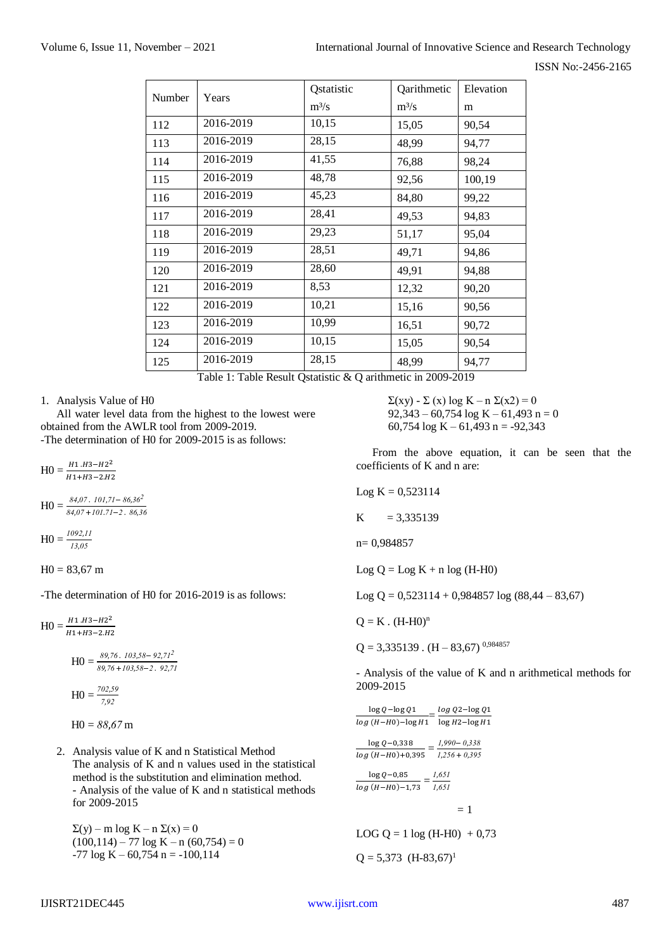| Number | Years     | Qstatistic | Qarithmetic | Elevation |
|--------|-----------|------------|-------------|-----------|
|        |           | $m^3/s$    | $m^3/s$     | m         |
| 112    | 2016-2019 | 10,15      | 15,05       | 90,54     |
| 113    | 2016-2019 | 28,15      | 48,99       | 94,77     |
| 114    | 2016-2019 | 41,55      | 76,88       | 98,24     |
| 115    | 2016-2019 | 48,78      | 92,56       | 100,19    |
| 116    | 2016-2019 | 45,23      | 84,80       | 99,22     |
| 117    | 2016-2019 | 28,41      | 49,53       | 94,83     |
| 118    | 2016-2019 | 29,23      | 51,17       | 95,04     |
| 119    | 2016-2019 | 28,51      | 49,71       | 94,86     |
| 120    | 2016-2019 | 28,60      | 49,91       | 94,88     |
| 121    | 2016-2019 | 8,53       | 12,32       | 90,20     |
| 122    | 2016-2019 | 10,21      | 15,16       | 90,56     |
| 123    | 2016-2019 | 10,99      | 16,51       | 90,72     |
| 124    | 2016-2019 | 10,15      | 15,05       | 90,54     |
| 125    | 2016-2019 | 28,15      | 48,99       | 94,77     |

Table 1: Table Result Qstatistic & Q arithmetic in 2009-2019

1. Analysis Value of H0

All water level data from the highest to the lowest were obtained from the AWLR tool from 2009-2019. -The determination of H0 for 2009-2015 is as follows:

 $H0 = \frac{H1.H3 - H2^2}{H1+H2 - 3H2}$ H1+H3-2.H2

 $H0 = \frac{84,07 \cdot 101,71 - 86,36^2}{84,07 + 101,71 - 2.86,36^2}$ 

$$
HO = \frac{1092,11}{13,05}
$$

 $H0 = 83,67$  m

-The determination of H0 for 2016-2019 is as follows:

 $H0 = \frac{H1.H3 - H2^2}{H1+H2 - 3H2}$ H1+H3−2.H2

> $H0 = \frac{89,76 \cdot 103,58 - 92,71^2}{89,76 + 103,58 - 2.92,71^2}$  $HO = \frac{702,59}{7,92}$

$$
H0 = 88,67 \,\mathrm{m}
$$

2. Analysis value of K and n Statistical Method The analysis of K and n values used in the statistical method is the substitution and elimination method. - Analysis of the value of K and n statistical methods for 2009-2015

 $\Sigma(y)$  – m log K – n  $\Sigma(x)$  = 0  $(100, 114) - 77 \log K - n (60, 754) = 0$  $-77 \log K - 60,754 \text{ n} = -100,114$ 

 $\Sigma(xy) - \Sigma(x) \log K - n \Sigma(x^2) = 0$  $92,343 - 60,754 \log K - 61,493 n = 0$ 60,754  $\log K - 61,493$  n = -92,343

From the above equation, it can be seen that the coefficients of K and n are:

 $Log K = 0,523114$  $K = 3.335139$ n= 0,984857  $Log Q = Log K + n log (H-H0)$ Log  $Q = 0.523114 + 0.984857 \log (88,44 - 83,67)$  $Q = K$ .  $(H-H0)^n$  $Q = 3,335139$ .  $(H - 83,67)^{0,984857}$ 

- Analysis of the value of K and n arithmetical methods for 2009-2015

| $\log Q - \log Q1$   | $log Q2 - log Q1$ |
|----------------------|-------------------|
| $log(H-H0) - log H1$ | $log H2 - log H1$ |

| $log Q - 0.338$   | $1,990 - 0,338$ |  |
|-------------------|-----------------|--|
| $log(H-H0)+0.395$ | $1,256 + 0,395$ |  |

 $log Q - 0.85$  $\frac{\log Q - 0.85}{\log (H - H0) - 1.73} = \frac{1.651}{1.651}$ *1*,*651*

 $= 1$ 

LOG  $Q = 1 \log(H-HO) + 0.73$ 

 $Q = 5,373$  (H-83,67)<sup>1</sup>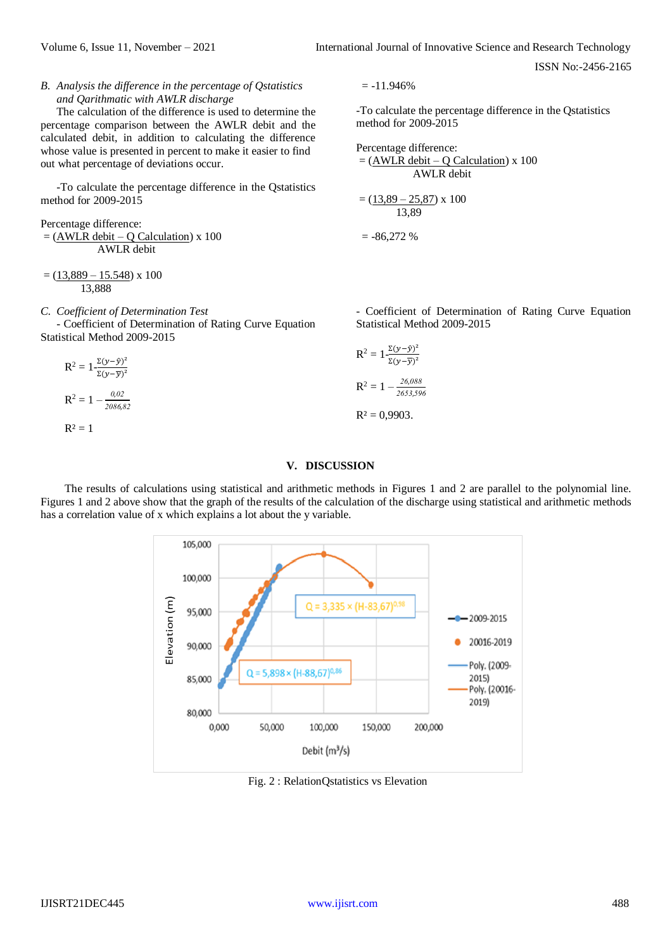ISSN No:-2456-2165

*B. Analysis the difference in the percentage of Qstatistics and Qarithmatic with AWLR discharge*

The calculation of the difference is used to determine the percentage comparison between the AWLR debit and the calculated debit, in addition to calculating the difference whose value is presented in percent to make it easier to find out what percentage of deviations occur.

-To calculate the percentage difference in the Qstatistics method for 2009-2015

Percentage difference:  $=$  (AWLR debit – Q Calculation) x 100 AWLR debit

 $= (13,889 - 15.548) \times 100$ 13,888

*C. Coefficient of Determination Test*

- Coefficient of Determination of Rating Curve Equation Statistical Method 2009-2015

$$
R^{2} = 1 - \frac{\Sigma(y - \hat{y})^{2}}{\Sigma(y - \bar{y})^{2}}
$$
  
\n
$$
R^{2} = 1 - \frac{\theta_{0} \theta^{2}}{2\theta^{2}} = 1
$$
  
\n
$$
R^{2} = 1
$$
  
\n
$$
R^{2} = 0
$$
  
\n
$$
R^{2} = 0
$$

 $= -11.946%$ 

-To calculate the percentage difference in the Qstatistics method for 2009-2015

Percentage difference:  
= 
$$
(\underline{AWLR \text{ debt} - Q \text{ Calculation}}) \times 100
$$
  
AWLR debt  
=  $(\underline{13,89} - 25,87) \times 100$   
13,89

 $= -86,272%$ 

- Coefficient of Determination of Rating Curve Equation Statistical Method 2009-2015

$$
R^{2} = 1 - \frac{\Sigma(y - \hat{y})^{2}}{\Sigma(y - \overline{y})^{2}}
$$

$$
R^{2} = 1 - \frac{26,088}{2653,596}
$$

9903.

# **V. DISCUSSION**

The results of calculations using statistical and arithmetic methods in Figures 1 and 2 are parallel to the polynomial line. Figures 1 and 2 above show that the graph of the results of the calculation of the discharge using statistical and arithmetic methods has a correlation value of x which explains a lot about the y variable.

> 105,000 100,000 Elevation(m)  $Q = 3,335 \times (H-83,67)^{0.9}$ 95,000  $-2009 - 2015$ 20016-2019 90,000 Poly. (2009- $Q = 5,898 \times (H-88,67)^{0.8}$ 2015) 85,000 Poly. (20016-2019) 80,000 0,000 50,000 100,000 150,000 200,000 Debit  $(m<sup>3</sup>/s)$

Fig. 2 : RelationQstatistics vs Elevation